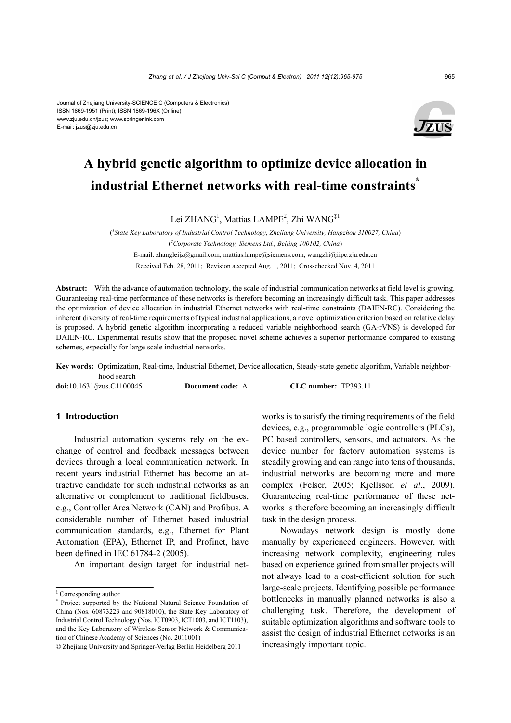#### Journal of Zhejiang University-SCIENCE C (Computers & Electronics) ISSN 1869-1951 (Print); ISSN 1869-196X (Online) www.zju.edu.cn/jzus; www.springerlink.com E-mail: jzus@zju.edu.cn



# **A hybrid genetic algorithm to optimize device allocation in industrial Ethernet networks with real-time constraints\***

Lei ZHANG<sup>1</sup>, Mattias LAMPE<sup>2</sup>, Zhi WANG<sup>‡1</sup>

( *1 State Key Laboratory of Industrial Control Technology, Zhejiang University, Hangzhou 310027, China*) ( *2 Corporate Technology, Siemens Ltd., Beijing 100102, China*) E-mail: zhangleijz@gmail.com; mattias.lampe@siemens.com; wangzhi@iipc.zju.edu.cn Received Feb. 28, 2011; Revision accepted Aug. 1, 2011; Crosschecked Nov. 4, 2011

**Abstract:** With the advance of automation technology, the scale of industrial communication networks at field level is growing. Guaranteeing real-time performance of these networks is therefore becoming an increasingly difficult task. This paper addresses the optimization of device allocation in industrial Ethernet networks with real-time constraints (DAIEN-RC). Considering the inherent diversity of real-time requirements of typical industrial applications, a novel optimization criterion based on relative delay is proposed. A hybrid genetic algorithm incorporating a reduced variable neighborhood search (GA-rVNS) is developed for DAIEN-RC. Experimental results show that the proposed novel scheme achieves a superior performance compared to existing schemes, especially for large scale industrial networks.

**Key words:** Optimization, Real-time, Industrial Ethernet, Device allocation, Steady-state genetic algorithm, Variable neighborhood search

**doi:**10.1631/jzus.C1100045 **Document code:** A **CLC number:** TP393.11

### **1 Introduction**

Industrial automation systems rely on the exchange of control and feedback messages between devices through a local communication network. In recent years industrial Ethernet has become an attractive candidate for such industrial networks as an alternative or complement to traditional fieldbuses, e.g., Controller Area Network (CAN) and Profibus. A considerable number of Ethernet based industrial communication standards, e.g., Ethernet for Plant Automation (EPA), Ethernet IP, and Profinet, have been defined in IEC 61784-2 (2005).

An important design target for industrial net-

works is to satisfy the timing requirements of the field devices, e.g., programmable logic controllers (PLCs), PC based controllers, sensors, and actuators. As the device number for factory automation systems is steadily growing and can range into tens of thousands, industrial networks are becoming more and more complex (Felser, 2005; Kjellsson *et al*., 2009). Guaranteeing real-time performance of these networks is therefore becoming an increasingly difficult task in the design process.

Nowadays network design is mostly done manually by experienced engineers. However, with increasing network complexity, engineering rules based on experience gained from smaller projects will not always lead to a cost-efficient solution for such large-scale projects. Identifying possible performance bottlenecks in manually planned networks is also a challenging task. Therefore, the development of suitable optimization algorithms and software tools to assist the design of industrial Ethernet networks is an increasingly important topic.

<sup>‡</sup> Corresponding author

<sup>\*</sup> Project supported by the National Natural Science Foundation of China (Nos. 60873223 and 90818010), the State Key Laboratory of Industrial Control Technology (Nos. ICT0903, ICT1003, and ICT1103), and the Key Laboratory of Wireless Sensor Network & Communication of Chinese Academy of Sciences (No. 2011001)

<sup>©</sup> Zhejiang University and Springer-Verlag Berlin Heidelberg 2011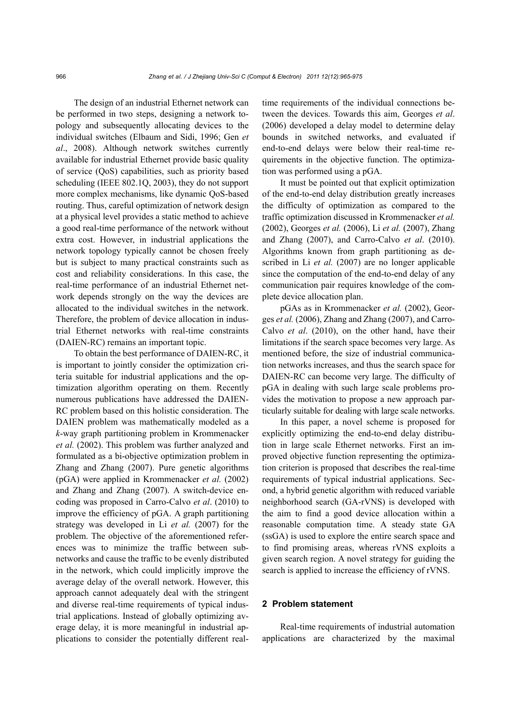The design of an industrial Ethernet network can be performed in two steps, designing a network topology and subsequently allocating devices to the individual switches (Elbaum and Sidi, 1996; Gen *et al*., 2008). Although network switches currently available for industrial Ethernet provide basic quality of service (QoS) capabilities, such as priority based scheduling (IEEE 802.1Q, 2003), they do not support more complex mechanisms, like dynamic QoS-based routing. Thus, careful optimization of network design at a physical level provides a static method to achieve a good real-time performance of the network without extra cost. However, in industrial applications the network topology typically cannot be chosen freely but is subject to many practical constraints such as cost and reliability considerations. In this case, the real-time performance of an industrial Ethernet network depends strongly on the way the devices are allocated to the individual switches in the network. Therefore, the problem of device allocation in industrial Ethernet networks with real-time constraints (DAIEN-RC) remains an important topic.

To obtain the best performance of DAIEN-RC, it is important to jointly consider the optimization criteria suitable for industrial applications and the optimization algorithm operating on them. Recently numerous publications have addressed the DAIEN-RC problem based on this holistic consideration. The DAIEN problem was mathematically modeled as a *k*-way graph partitioning problem in Krommenacker *et al.* (2002). This problem was further analyzed and formulated as a bi-objective optimization problem in Zhang and Zhang (2007). Pure genetic algorithms (pGA) were applied in Krommenacker *et al.* (2002) and Zhang and Zhang (2007). A switch-device encoding was proposed in Carro-Calvo *et al*. (2010) to improve the efficiency of pGA. A graph partitioning strategy was developed in Li *et al.* (2007) for the problem. The objective of the aforementioned references was to minimize the traffic between subnetworks and cause the traffic to be evenly distributed in the network, which could implicitly improve the average delay of the overall network. However, this approach cannot adequately deal with the stringent and diverse real-time requirements of typical industrial applications. Instead of globally optimizing average delay, it is more meaningful in industrial applications to consider the potentially different realtime requirements of the individual connections between the devices. Towards this aim, Georges *et al*. (2006) developed a delay model to determine delay bounds in switched networks, and evaluated if end-to-end delays were below their real-time requirements in the objective function. The optimization was performed using a pGA.

It must be pointed out that explicit optimization of the end-to-end delay distribution greatly increases the difficulty of optimization as compared to the traffic optimization discussed in Krommenacker *et al.* (2002), Georges *et al.* (2006), Li *et al.* (2007), Zhang and Zhang (2007), and Carro-Calvo *et al*. (2010). Algorithms known from graph partitioning as described in Li *et al.* (2007) are no longer applicable since the computation of the end-to-end delay of any communication pair requires knowledge of the complete device allocation plan.

pGAs as in Krommenacker *et al.* (2002), Georges *et al.* (2006), Zhang and Zhang (2007), and Carro-Calvo *et al*. (2010), on the other hand, have their limitations if the search space becomes very large. As mentioned before, the size of industrial communication networks increases, and thus the search space for DAIEN-RC can become very large. The difficulty of pGA in dealing with such large scale problems provides the motivation to propose a new approach particularly suitable for dealing with large scale networks.

In this paper, a novel scheme is proposed for explicitly optimizing the end-to-end delay distribution in large scale Ethernet networks. First an improved objective function representing the optimization criterion is proposed that describes the real-time requirements of typical industrial applications. Second, a hybrid genetic algorithm with reduced variable neighborhood search (GA-rVNS) is developed with the aim to find a good device allocation within a reasonable computation time. A steady state GA (ssGA) is used to explore the entire search space and to find promising areas, whereas rVNS exploits a given search region. A novel strategy for guiding the search is applied to increase the efficiency of rVNS.

#### **2 Problem statement**

Real-time requirements of industrial automation applications are characterized by the maximal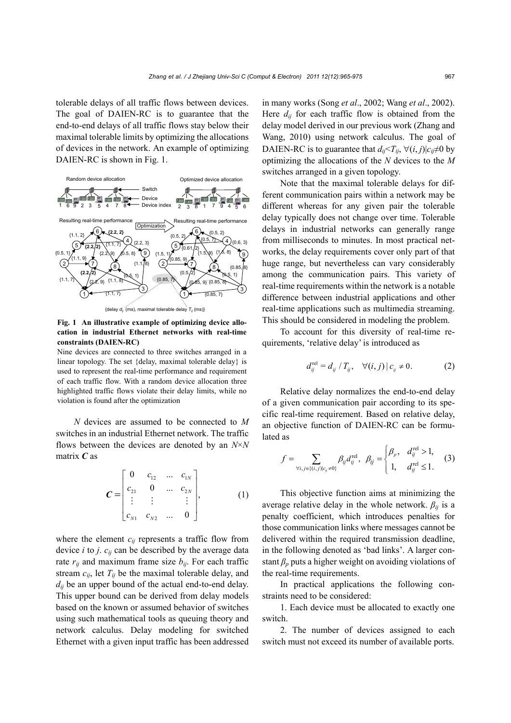tolerable delays of all traffic flows between devices. The goal of DAIEN-RC is to guarantee that the end-to-end delays of all traffic flows stay below their maximal tolerable limits by optimizing the allocations of devices in the network. An example of optimizing DAIEN-RC is shown in Fig. 1.



**Fig. 1 An illustrative example of optimizing device allocation in industrial Ethernet networks with real-time constraints (DAIEN-RC)** 

Nine devices are connected to three switches arranged in a linear topology. The set {delay, maximal tolerable delay} is used to represent the real-time performance and requirement of each traffic flow. With a random device allocation three highlighted traffic flows violate their delay limits, while no violation is found after the optimization

*N* devices are assumed to be connected to *M* switches in an industrial Ethernet network. The traffic flows between the devices are denoted by an *N*×*N* matrix *C* as

$$
\boldsymbol{C} = \begin{bmatrix} 0 & c_{12} & \dots & c_{1N} \\ c_{21} & 0 & \dots & c_{2N} \\ \vdots & \vdots & & \vdots \\ c_{N1} & c_{N2} & \dots & 0 \end{bmatrix}, \tag{1}
$$

where the element  $c_{ij}$  represents a traffic flow from device *i* to *j*. *cij* can be described by the average data rate  $r_{ij}$  and maximum frame size  $b_{ij}$ . For each traffic stream  $c_{ij}$ , let  $T_{ij}$  be the maximal tolerable delay, and  $d_{ij}$  be an upper bound of the actual end-to-end delay. This upper bound can be derived from delay models based on the known or assumed behavior of switches using such mathematical tools as queuing theory and network calculus. Delay modeling for switched Ethernet with a given input traffic has been addressed in many works (Song *et al*., 2002; Wang *et al*., 2002). Here  $d_{ij}$  for each traffic flow is obtained from the delay model derived in our previous work (Zhang and Wang, 2010) using network calculus. The goal of DAIEN-RC is to guarantee that  $d_{ij} < T_{ij}$ ,  $\forall (i, j)|c_{ij} \neq 0$  by optimizing the allocations of the *N* devices to the *M* switches arranged in a given topology.

Note that the maximal tolerable delays for different communication pairs within a network may be different whereas for any given pair the tolerable delay typically does not change over time. Tolerable delays in industrial networks can generally range from milliseconds to minutes. In most practical networks, the delay requirements cover only part of that huge range, but nevertheless can vary considerably among the communication pairs. This variety of real-time requirements within the network is a notable difference between industrial applications and other real-time applications such as multimedia streaming. This should be considered in modeling the problem.

To account for this diversity of real-time requirements, 'relative delay' is introduced as

$$
d_{ij}^{\text{rel}} = d_{ij} / T_{ij}, \quad \forall (i, j) | c_{ij} \neq 0. \tag{2}
$$

Relative delay normalizes the end-to-end delay of a given communication pair according to its specific real-time requirement. Based on relative delay, an objective function of DAIEN-RC can be formulated as

$$
f = \sum_{\forall i,j \in \{(i,j)|c_{ij} \neq 0\}} \beta_{ij} d_{ij}^{\text{rel}}, \ \beta_{ij} = \begin{cases} \beta_{p}, & d_{ij}^{\text{rel}} > 1, \\ 1, & d_{ij}^{\text{rel}} \leq 1. \end{cases} (3)
$$

This objective function aims at minimizing the average relative delay in the whole network.  $\beta_{ii}$  is a penalty coefficient, which introduces penalties for those communication links where messages cannot be delivered within the required transmission deadline, in the following denoted as 'bad links'. A larger constant  $\beta_p$  puts a higher weight on avoiding violations of the real-time requirements.

In practical applications the following constraints need to be considered:

1. Each device must be allocated to exactly one switch.

2. The number of devices assigned to each switch must not exceed its number of available ports.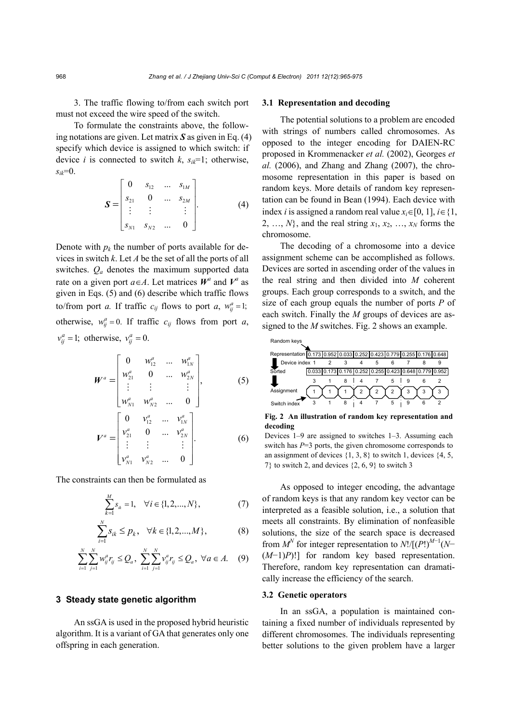3. The traffic flowing to/from each switch port must not exceed the wire speed of the switch.

To formulate the constraints above, the following notations are given. Let matrix *S* as given in Eq. (4) specify which device is assigned to which switch: if device *i* is connected to switch  $k$ ,  $s_{ik}=1$ ; otherwise,  $s_{ik} = 0$ .

$$
\mathbf{S} = \begin{bmatrix} 0 & s_{12} & \dots & s_{1M} \\ s_{21} & 0 & \dots & s_{2M} \\ \vdots & \vdots & & \vdots \\ s_{N1} & s_{N2} & \dots & 0 \end{bmatrix} .
$$
 (4)

Denote with  $p_k$  the number of ports available for devices in switch *k*. Let *A* be the set of all the ports of all switches. *Qa* denotes the maximum supported data rate on a given port  $a \in A$ . Let matrices  $W^a$  and  $V^a$  as given in Eqs. (5) and (6) describe which traffic flows to/from port *a*. If traffic  $c_{ij}$  flows to port *a*,  $w_{ij}^a = 1$ ; otherwise,  $w_{ii}^a = 0$ . If traffic  $c_{ij}$  flows from port *a*,  $v_{ij}^a = 1$ ; otherwise,  $v_{ij}^a = 0$ .

$$
W^{a} = \begin{bmatrix} 0 & w_{12}^{a} & \dots & w_{1N}^{a} \\ w_{21}^{a} & 0 & \dots & w_{2N}^{a} \\ \vdots & \vdots & & \vdots \\ w_{N1}^{a} & w_{N2}^{a} & \dots & 0 \end{bmatrix}, \qquad (5)
$$

$$
V^{a} = \begin{bmatrix} 0 & v_{12}^{a} & \dots & v_{1N}^{a} \\ v_{21}^{a} & 0 & \dots & v_{2N}^{a} \\ \vdots & \vdots & & \vdots \\ v_{N1}^{a} & v_{N2}^{a} & \dots & 0 \end{bmatrix}.
$$
 (6)

The constraints can then be formulated as

$$
\sum_{k=1}^{M} s_k = 1, \quad \forall i \in \{1, 2, ..., N\},
$$
 (7)

$$
\sum_{i=1}^{N} S_{ik} \le p_k, \quad \forall k \in \{1, 2, ..., M\},
$$
 (8)

$$
\sum_{i=1}^{N} \sum_{j=1}^{N} w_{ij}^{a} r_{ij} \leq Q_{a}, \ \sum_{i=1}^{N} \sum_{j=1}^{N} v_{ij}^{a} r_{ij} \leq Q_{a}, \ \forall a \in A. \tag{9}
$$

#### **3 Steady state genetic algorithm**

An ssGA is used in the proposed hybrid heuristic algorithm. It is a variant of GA that generates only one offspring in each generation.

#### **3.1 Representation and decoding**

The potential solutions to a problem are encoded with strings of numbers called chromosomes. As opposed to the integer encoding for DAIEN-RC proposed in Krommenacker *et al.* (2002), Georges *et al.* (2006), and Zhang and Zhang (2007), the chromosome representation in this paper is based on random keys. More details of random key representation can be found in Bean (1994). Each device with index *i* is assigned a random real value  $x_i \in [0, 1]$ ,  $i \in \{1, 1\}$ 2, …,  $N$ }, and the real string  $x_1, x_2, ..., x_N$  forms the chromosome.

The decoding of a chromosome into a device assignment scheme can be accomplished as follows. Devices are sorted in ascending order of the values in the real string and then divided into *M* coherent groups. Each group corresponds to a switch, and the size of each group equals the number of ports *P* of each switch. Finally the *M* groups of devices are assigned to the *M* switches. Fig. 2 shows an example.



**Fig. 2 An illustration of random key representation and decoding** 

Devices 1–9 are assigned to switches 1–3. Assuming each switch has *P*=3 ports, the given chromosome corresponds to an assignment of devices  $\{1, 3, 8\}$  to switch 1, devices  $\{4, 5, 6\}$ 7} to switch 2, and devices {2, 6, 9} to switch 3

As opposed to integer encoding, the advantage of random keys is that any random key vector can be interpreted as a feasible solution, i.e., a solution that meets all constraints. By elimination of nonfeasible solutions, the size of the search space is decreased from  $M^N$  for integer representation to  $N!/[(P!)^{M-1}(N-$ (*M*−1)*P*)!] for random key based representation. Therefore, random key representation can dramatically increase the efficiency of the search.

#### **3.2 Genetic operators**

In an ssGA, a population is maintained containing a fixed number of individuals represented by different chromosomes. The individuals representing better solutions to the given problem have a larger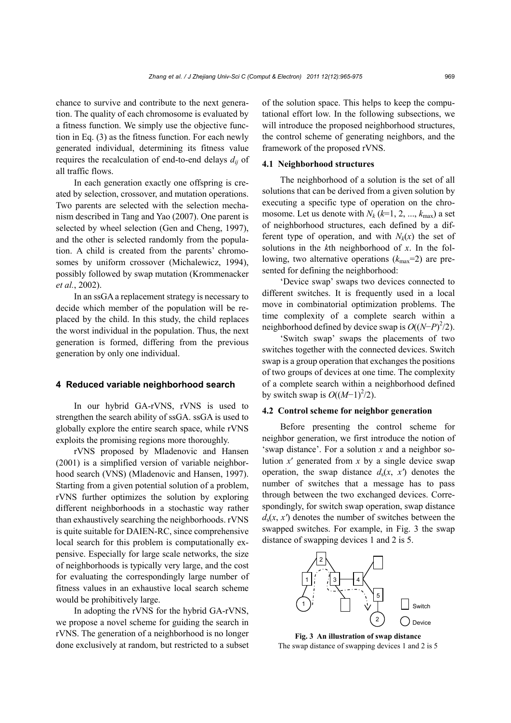chance to survive and contribute to the next generation. The quality of each chromosome is evaluated by a fitness function. We simply use the objective function in Eq. (3) as the fitness function. For each newly generated individual, determining its fitness value requires the recalculation of end-to-end delays  $d_{ii}$  of all traffic flows.

In each generation exactly one offspring is created by selection, crossover, and mutation operations. Two parents are selected with the selection mechanism described in Tang and Yao (2007). One parent is selected by wheel selection (Gen and Cheng, 1997), and the other is selected randomly from the population. A child is created from the parents' chromosomes by uniform crossover (Michalewicz, 1994), possibly followed by swap mutation (Krommenacker *et al.*, 2002).

In an ssGA a replacement strategy is necessary to decide which member of the population will be replaced by the child. In this study, the child replaces the worst individual in the population. Thus, the next generation is formed, differing from the previous generation by only one individual.

#### **4 Reduced variable neighborhood search**

In our hybrid GA-rVNS, rVNS is used to strengthen the search ability of ssGA. ssGA is used to globally explore the entire search space, while rVNS exploits the promising regions more thoroughly.

rVNS proposed by Mladenovic and Hansen (2001) is a simplified version of variable neighborhood search (VNS) (Mladenovic and Hansen, 1997). Starting from a given potential solution of a problem, rVNS further optimizes the solution by exploring different neighborhoods in a stochastic way rather than exhaustively searching the neighborhoods. rVNS is quite suitable for DAIEN-RC, since comprehensive local search for this problem is computationally expensive. Especially for large scale networks, the size of neighborhoods is typically very large, and the cost for evaluating the correspondingly large number of fitness values in an exhaustive local search scheme would be prohibitively large.

In adopting the rVNS for the hybrid GA-rVNS, we propose a novel scheme for guiding the search in rVNS. The generation of a neighborhood is no longer done exclusively at random, but restricted to a subset of the solution space. This helps to keep the computational effort low. In the following subsections, we will introduce the proposed neighborhood structures, the control scheme of generating neighbors, and the framework of the proposed rVNS.

#### **4.1 Neighborhood structures**

The neighborhood of a solution is the set of all solutions that can be derived from a given solution by executing a specific type of operation on the chromosome. Let us denote with  $N_k$  ( $k=1, 2, ..., k_{\text{max}}$ ) a set of neighborhood structures, each defined by a different type of operation, and with  $N_k(x)$  the set of solutions in the *k*th neighborhood of *x*. In the following, two alternative operations  $(k_{\text{max}}=2)$  are presented for defining the neighborhood:

'Device swap' swaps two devices connected to different switches. It is frequently used in a local move in combinatorial optimization problems. The time complexity of a complete search within a neighborhood defined by device swap is  $O((N-P)^2/2)$ .

'Switch swap' swaps the placements of two switches together with the connected devices. Switch swap is a group operation that exchanges the positions of two groups of devices at one time. The complexity of a complete search within a neighborhood defined by switch swap is  $O((M-1)^2/2)$ .

#### **4.2 Control scheme for neighbor generation**

Before presenting the control scheme for neighbor generation, we first introduce the notion of 'swap distance'. For a solution *x* and a neighbor solution  $x'$  generated from  $x$  by a single device swap operation, the swap distance  $d_s(x, x')$  denotes the number of switches that a message has to pass through between the two exchanged devices. Correspondingly, for switch swap operation, swap distance  $d_s(x, x')$  denotes the number of switches between the swapped switches. For example, in Fig. 3 the swap distance of swapping devices 1 and 2 is 5.



**Fig. 3 An illustration of swap distance**  The swap distance of swapping devices 1 and 2 is 5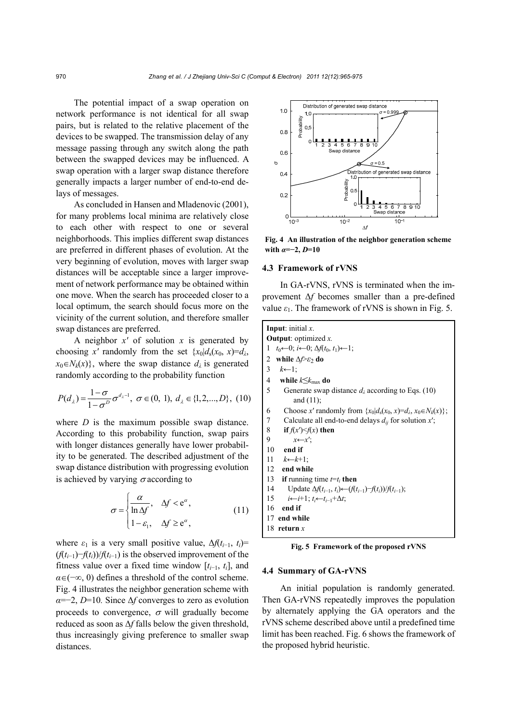The potential impact of a swap operation on network performance is not identical for all swap pairs, but is related to the relative placement of the devices to be swapped. The transmission delay of any message passing through any switch along the path between the swapped devices may be influenced. A swap operation with a larger swap distance therefore generally impacts a larger number of end-to-end delays of messages.

As concluded in Hansen and Mladenovic (2001), for many problems local minima are relatively close to each other with respect to one or several neighborhoods. This implies different swap distances are preferred in different phases of evolution. At the very beginning of evolution, moves with larger swap distances will be acceptable since a larger improvement of network performance may be obtained within one move. When the search has proceeded closer to a local optimum, the search should focus more on the vicinity of the current solution, and therefore smaller swap distances are preferred.

A neighbor *x′* of solution *x* is generated by choosing *x*<sup>*'*</sup> randomly from the set  $\{x_0 | d_s(x_0, x) = d_\lambda\}$  $x_0 \in N_k(x)$ , where the swap distance  $d_\lambda$  is generated randomly according to the probability function

$$
P(d_{\lambda}) = \frac{1-\sigma}{1-\sigma^{D}} \sigma^{d_{\lambda}-1}, \ \sigma \in (0, 1), \ d_{\lambda} \in \{1, 2, ..., D\}, \ (10)
$$

where  $D$  is the maximum possible swap distance. According to this probability function, swap pairs with longer distances generally have lower probability to be generated. The described adjustment of the swap distance distribution with progressing evolution is achieved by varying  $\sigma$  according to

$$
\sigma = \begin{cases} \frac{\alpha}{\ln \Delta f}, & \Delta f < e^{\alpha}, \\ 1 - \varepsilon_1, & \Delta f \ge e^{\alpha}, \end{cases}
$$
 (11)

where  $\varepsilon_1$  is a very small positive value,  $\Delta f(t_{i-1}, t_i)$ = (*f*(*ti*−1)−*f*(*ti*))/*f*(*ti*−1) is the observed improvement of the fitness value over a fixed time window [*ti*−1, *ti*], and  $\alpha \in (-\infty, 0)$  defines a threshold of the control scheme. Fig. 4 illustrates the neighbor generation scheme with *α*=−2, *D*=10*.* Since Δ*f* converges to zero as evolution proceeds to convergence,  $\sigma$  will gradually become reduced as soon as Δ*f* falls below the given threshold, thus increasingly giving preference to smaller swap distances.



**Fig. 4 An illustration of the neighbor generation scheme** 

#### **4.3 Framework of rVNS**

In GA-rVNS, rVNS is terminated when the improvement Δ*f* becomes smaller than a pre-defined value  $\varepsilon_1$ . The framework of rVNS is shown in Fig. 5.

**Input**: initial *x*. **Output**: optimized *x.* 1 *t*0←0; *i*←0; Δ*f*(*t*0, *t*1)←1; 2 **while** Δ*f*>*ε*<sup>2</sup> **do** 3 *k*←1; 4 **while** *k*≤*k*max **do** 5 Generate swap distance *dλ* according to Eqs. (10) and (11); 6 Choose *x'* randomly from  $\{x_0 | d_s(x_0, x) = d_\lambda, x_0 \in N_k(x)\};$ 7 Calculate all end-to-end delays  $d_{ij}$  for solution *x'*;<br>8 **if**  $f(x') < f(x)$  then  $\textbf{if } f(x') \leq f(x) \textbf{ then}$ 9 *x*←*x*′; 10 **end if** 11 *k*←*k*+1; 12 **end while**  13 if running time  $t=t_i$  then 14Update Δ*f*(*ti*−1, *ti*)←(*f*(*ti*−1)−*f*(*ti*))/*f*(*ti*−1); 15  $i \leftarrow i+1; t_i \leftarrow t_{i-1}+\Delta t;$ 16 **end if** 17 **end while**  18 **return** *x*

**Fig. 5 Framework of the proposed rVNS** 

#### **4.4 Summary of GA-rVNS**

An initial population is randomly generated. Then GA-rVNS repeatedly improves the population by alternately applying the GA operators and the rVNS scheme described above until a predefined time limit has been reached. Fig. 6 shows the framework of the proposed hybrid heuristic.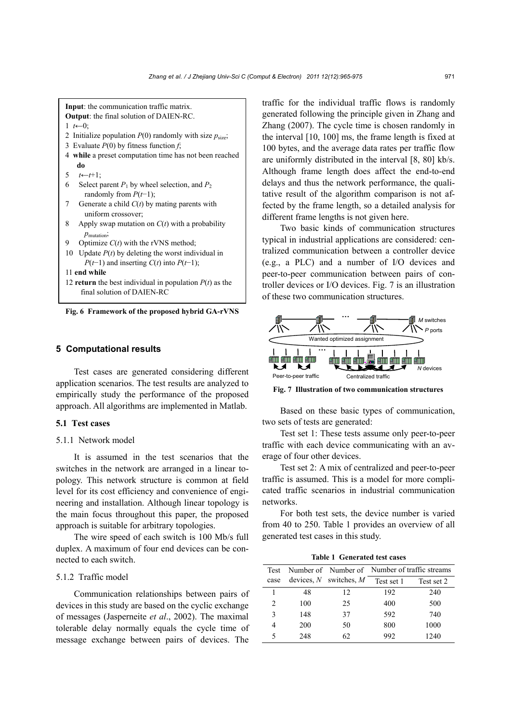**Input**: the communication traffic matrix. **Output**: the final solution of DAIEN-RC.

- 1  $t$ ←0;
- 2 Initialize population  $P(0)$  randomly with size  $p_{size}$ ;
- 3 Evaluate *P*(0) by fitness function *f*;
- 4 **while** a preset computation time has not been reached **do**
- 5 *t*←*t*+1;
- 6 Select parent  $P_1$  by wheel selection, and  $P_2$ randomly from *P*(*t*−1);
- 7 Generate a child *C*(*t*) by mating parents with uniform crossover;
- 8 Apply swap mutation on *C*(*t*) with a probability *p*mutation;
- 9 Optimize *C*(*t*) with the rVNS method;
- 10 Update  $P(t)$  by deleting the worst individual in *P*( $t$ −1) and inserting  $C(t)$  into  $P(t-1)$ ;
- 11 **end while**
- 12 **return** the best individual in population  $P(t)$  as the final solution of DAIEN-RC



#### **5 Computational results**

Test cases are generated considering different application scenarios. The test results are analyzed to empirically study the performance of the proposed approach. All algorithms are implemented in Matlab.

#### **5.1 Test cases**

#### 5.1.1 Network model

It is assumed in the test scenarios that the switches in the network are arranged in a linear topology. This network structure is common at field level for its cost efficiency and convenience of engineering and installation. Although linear topology is the main focus throughout this paper, the proposed approach is suitable for arbitrary topologies.

The wire speed of each switch is 100 Mb/s full duplex. A maximum of four end devices can be connected to each switch.

### 5.1.2 Traffic model

Communication relationships between pairs of devices in this study are based on the cyclic exchange of messages (Jasperneite *et al*., 2002). The maximal tolerable delay normally equals the cycle time of message exchange between pairs of devices. The traffic for the individual traffic flows is randomly generated following the principle given in Zhang and Zhang (2007). The cycle time is chosen randomly in the interval [10, 100] ms, the frame length is fixed at 100 bytes, and the average data rates per traffic flow are uniformly distributed in the interval [8, 80] kb/s. Although frame length does affect the end-to-end delays and thus the network performance, the qualitative result of the algorithm comparison is not affected by the frame length, so a detailed analysis for different frame lengths is not given here.

Two basic kinds of communication structures typical in industrial applications are considered: centralized communication between a controller device (e.g., a PLC) and a number of I/O devices and peer-to-peer communication between pairs of controller devices or I/O devices. Fig. 7 is an illustration of these two communication structures.



**Fig. 7 Illustration of two communication structures**

Based on these basic types of communication, two sets of tests are generated:

Test set 1: These tests assume only peer-to-peer traffic with each device communicating with an average of four other devices.

Test set 2: A mix of centralized and peer-to-peer traffic is assumed. This is a model for more complicated traffic scenarios in industrial communication networks.

For both test sets, the device number is varied from 40 to 250. Table 1 provides an overview of all generated test cases in this study.

**Table 1 Generated test cases** 

| Test |     |                            | Number of Number of Number of traffic streams |            |
|------|-----|----------------------------|-----------------------------------------------|------------|
| case |     | devices, $N$ switches, $M$ | Test set 1                                    | Test set 2 |
|      | 48  | 12                         | 192                                           | 240        |
| 2    | 100 | 25                         | 400                                           | 500        |
| 3    | 148 | 37                         | 592                                           | 740        |
| 4    | 200 | 50                         | 800                                           | 1000       |
| 5    | 248 | 62                         | 992                                           | 1240       |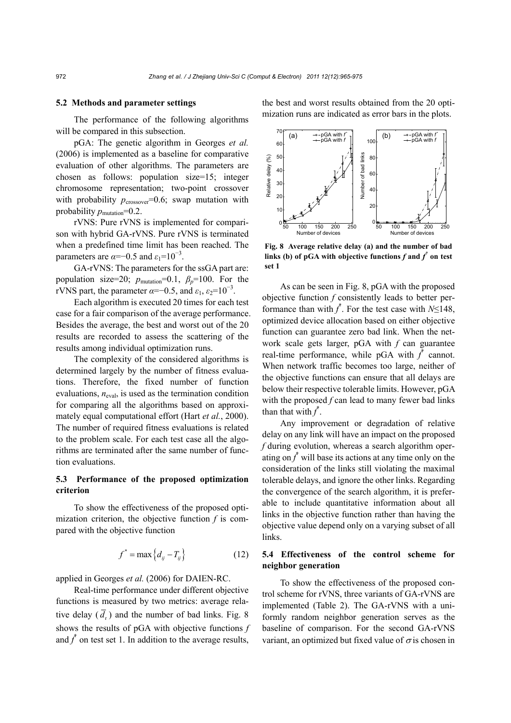#### **5.2 Methods and parameter settings**

The performance of the following algorithms will be compared in this subsection.

pGA: The genetic algorithm in Georges *et al.* (2006) is implemented as a baseline for comparative evaluation of other algorithms. The parameters are chosen as follows: population size=15; integer chromosome representation; two-point crossover with probability  $p_{\text{crossover}}=0.6$ ; swap mutation with probability  $p_{\text{mutation}}=0.2$ .

rVNS: Pure rVNS is implemented for comparison with hybrid GA-rVNS. Pure rVNS is terminated when a predefined time limit has been reached. The parameters are  $\alpha = -0.5$  and  $\varepsilon_1 = 10^{-3}$ .

GA-rVNS: The parameters for the ssGA part are: population size=20;  $p_{\text{mutation}}=0.1$ ,  $\beta_p=100$ . For the rVNS part, the parameter  $\alpha = -0.5$ , and  $\varepsilon_1$ ,  $\varepsilon_2 = 10^{-3}$ .

Each algorithm is executed 20 times for each test case for a fair comparison of the average performance. Besides the average, the best and worst out of the 20 results are recorded to assess the scattering of the results among individual optimization runs.

The complexity of the considered algorithms is determined largely by the number of fitness evaluations. Therefore, the fixed number of function evaluations,  $n_{\text{eval}}$ , is used as the termination condition for comparing all the algorithms based on approximately equal computational effort (Hart *et al.*, 2000). The number of required fitness evaluations is related to the problem scale. For each test case all the algorithms are terminated after the same number of function evaluations.

# **5.3 Performance of the proposed optimization criterion**

To show the effectiveness of the proposed optimization criterion, the objective function  $f$  is compared with the objective function

$$
f^* = \max\left\{d_{ij} - T_{ij}\right\} \tag{12}
$$

applied in Georges *et al.* (2006) for DAIEN-RC.

Real-time performance under different objective functions is measured by two metrics: average relative delay  $(\bar{d}_r)$  and the number of bad links. Fig. 8 shows the results of pGA with objective functions *f*  and  $f^*$  on test set 1. In addition to the average results, the best and worst results obtained from the 20 optimization runs are indicated as error bars in the plots.



**Fig. 8 Average relative delay (a) and the number of bad**  links (b) of pGA with objective functions  $f$  and  $f^*$  on test **set 1** 

As can be seen in Fig. 8, pGA with the proposed objective function *f* consistently leads to better performance than with  $f^*$ . For the test case with  $N \leq 148$ , optimized device allocation based on either objective function can guarantee zero bad link. When the network scale gets larger, pGA with *f* can guarantee real-time performance, while pGA with  $f^*$  cannot. When network traffic becomes too large, neither of the objective functions can ensure that all delays are below their respective tolerable limits. However, pGA with the proposed *f* can lead to many fewer bad links than that with  $f^*$ .

Any improvement or degradation of relative delay on any link will have an impact on the proposed *f* during evolution, whereas a search algorithm operating on  $f^*$  will base its actions at any time only on the consideration of the links still violating the maximal tolerable delays, and ignore the other links. Regarding the convergence of the search algorithm, it is preferable to include quantitative information about all links in the objective function rather than having the objective value depend only on a varying subset of all links.

# **5.4 Effectiveness of the control scheme for neighbor generation**

To show the effectiveness of the proposed control scheme for rVNS, three variants of GA-rVNS are implemented (Table 2). The GA-rVNS with a uniformly random neighbor generation serves as the baseline of comparison. For the second GA-rVNS variant, an optimized but fixed value of  $\sigma$  is chosen in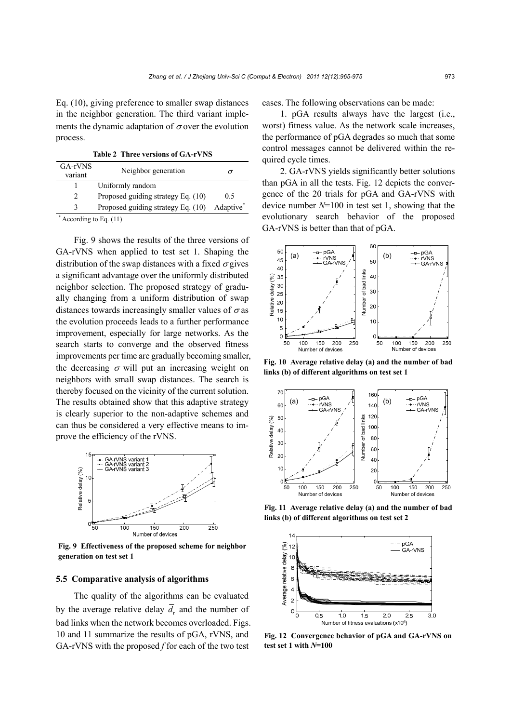Eq. (10), giving preference to smaller swap distances in the neighbor generation. The third variant implements the dynamic adaptation of  $\sigma$  over the evolution process.

| <b>Table 2 Three versions of GA-rVNS</b> |                                    |                       |  |  |
|------------------------------------------|------------------------------------|-----------------------|--|--|
| GA-rVNS                                  | Neighbor generation                |                       |  |  |
| variant                                  |                                    |                       |  |  |
|                                          | Uniformly random                   |                       |  |  |
| 2                                        | Proposed guiding strategy Eq. (10) | 0.5                   |  |  |
| 3                                        | Proposed guiding strategy Eq. (10) | Adaptive <sup>®</sup> |  |  |
| *<br>According to Eq. $(11)$             |                                    |                       |  |  |

Fig. 9 shows the results of the three versions of GA-rVNS when applied to test set 1. Shaping the distribution of the swap distances with a fixed  $\sigma$  gives a significant advantage over the uniformly distributed neighbor selection. The proposed strategy of gradually changing from a uniform distribution of swap distances towards increasingly smaller values of  $\sigma$  as the evolution proceeds leads to a further performance improvement, especially for large networks. As the search starts to converge and the observed fitness improvements per time are gradually becoming smaller, the decreasing  $\sigma$  will put an increasing weight on neighbors with small swap distances. The search is thereby focused on the vicinity of the current solution. The results obtained show that this adaptive strategy is clearly superior to the non-adaptive schemes and can thus be considered a very effective means to improve the efficiency of the rVNS.



**Fig. 9 Effectiveness of the proposed scheme for neighbor generation on test set 1** 

#### **5.5 Comparative analysis of algorithms**

The quality of the algorithms can be evaluated by the average relative delay  $\overline{d}_r$  and the number of bad links when the network becomes overloaded. Figs. 10 and 11 summarize the results of pGA, rVNS, and GA-rVNS with the proposed *f* for each of the two test cases. The following observations can be made:

1. pGA results always have the largest (i.e., worst) fitness value. As the network scale increases, the performance of pGA degrades so much that some control messages cannot be delivered within the required cycle times.

2. GA-rVNS yields significantly better solutions than pGA in all the tests. Fig. 12 depicts the convergence of the 20 trials for pGA and GA-rVNS with device number *N*=100 in test set 1, showing that the evolutionary search behavior of the proposed GA-rVNS is better than that of pGA.



**Fig. 10 Average relative delay (a) and the number of bad** 



**Fig. 11 Average relative delay (a) and the number of bad links (b) of different algorithms on test set 2**



**Fig. 12 Convergence behavior of pGA and GA-rVNS on test set 1 with** *N***=100**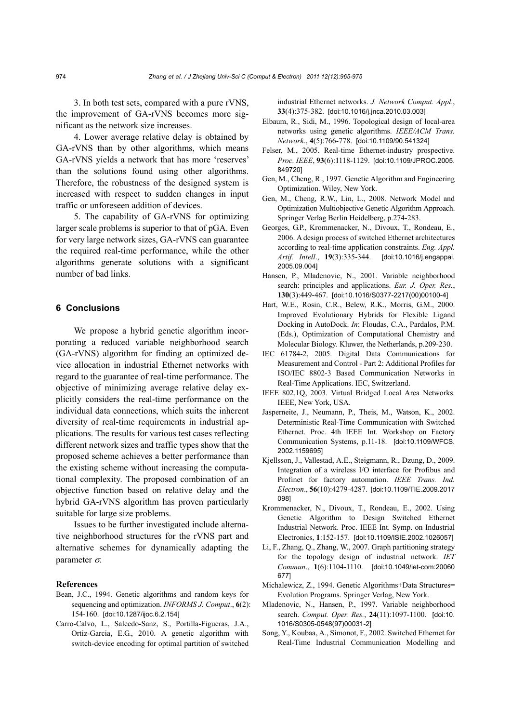3. In both test sets, compared with a pure rVNS, the improvement of GA-rVNS becomes more significant as the network size increases.

4. Lower average relative delay is obtained by GA-rVNS than by other algorithms, which means GA-rVNS yields a network that has more 'reserves' than the solutions found using other algorithms. Therefore, the robustness of the designed system is increased with respect to sudden changes in input traffic or unforeseen addition of devices.

5. The capability of GA-rVNS for optimizing larger scale problems is superior to that of pGA. Even for very large network sizes, GA-rVNS can guarantee the required real-time performance, while the other algorithms generate solutions with a significant number of bad links.

#### **6 Conclusions**

We propose a hybrid genetic algorithm incorporating a reduced variable neighborhood search (GA-rVNS) algorithm for finding an optimized device allocation in industrial Ethernet networks with regard to the guarantee of real-time performance. The objective of minimizing average relative delay explicitly considers the real-time performance on the individual data connections, which suits the inherent diversity of real-time requirements in industrial applications. The results for various test cases reflecting different network sizes and traffic types show that the proposed scheme achieves a better performance than the existing scheme without increasing the computational complexity. The proposed combination of an objective function based on relative delay and the hybrid GA-rVNS algorithm has proven particularly suitable for large size problems.

Issues to be further investigated include alternative neighborhood structures for the rVNS part and alternative schemes for dynamically adapting the parameter  $\sigma$ .

#### **References**

- Bean, J.C., 1994. Genetic algorithms and random keys for sequencing and optimization. *INFORMS J. Comput*., **6**(2): 154-160. [doi:10.1287/ijoc.6.2.154]
- Carro-Calvo, L., Salcedo-Sanz, S., Portilla-Figueras, J.A., Ortiz-Garcia, E.G., 2010. A genetic algorithm with switch-device encoding for optimal partition of switched

industrial Ethernet networks. *J. Network Comput. Appl*., **33**(4):375-382. [doi:10.1016/j.jnca.2010.03.003]

- Elbaum, R., Sidi, M., 1996. Topological design of local-area networks using genetic algorithms. *IEEE/ACM Trans. Network*., **4**(5):766-778. [doi:10.1109/90.541324]
- Felser, M., 2005. Real-time Ethernet-industry prospective. *Proc. IEEE*, **93**(6):1118-1129. [doi:10.1109/JPROC.2005. 849720]
- Gen, M., Cheng, R., 1997. Genetic Algorithm and Engineering Optimization. Wiley, New York.
- Gen, M., Cheng, R.W., Lin, L., 2008. Network Model and Optimization Multiobjective Genetic Algorithm Approach. Springer Verlag Berlin Heidelberg, p.274-283.
- Georges, G.P., Krommenacker, N., Divoux, T., Rondeau, E., 2006. A design process of switched Ethernet architectures according to real-time application constraints. *Eng. Appl. Artif. Intell*., **19**(3):335-344. [doi:10.1016/j.engappai. 2005.09.004]
- Hansen, P., Mladenovic, N., 2001. Variable neighborhood search: principles and applications. *Eur. J. Oper. Res.*, **130**(3):449-467. [doi:10.1016/S0377-2217(00)00100-4]
- Hart, W.E., Rosin, C.R., Belew, R.K., Morris, G.M., 2000. Improved Evolutionary Hybrids for Flexible Ligand Docking in AutoDock. *In*: Floudas, C.A., Pardalos, P.M. (Eds.), Optimization of Computational Chemistry and Molecular Biology. Kluwer, the Netherlands, p.209-230.
- IEC 61784-2, 2005. Digital Data Communications for Measurement and Control - Part 2: Additional Profiles for ISO/IEC 8802-3 Based Communication Networks in Real-Time Applications. IEC, Switzerland.
- IEEE 802.1Q, 2003. Virtual Bridged Local Area Networks. IEEE, New York, USA.
- Jasperneite, J., Neumann, P., Theis, M., Watson, K., 2002. Deterministic Real-Time Communication with Switched Ethernet. Proc. 4th IEEE Int. Workshop on Factory Communication Systems, p.11-18. [doi:10.1109/WFCS. 2002.1159695]
- Kjellsson, J., Vallestad, A.E., Steigmann, R., Dzung, D., 2009. Integration of a wireless I/O interface for Profibus and Profinet for factory automation. *IEEE Trans. Ind. Electron*., **56**(10):4279-4287. [doi:10.1109/TIE.2009.2017 098]
- Krommenacker, N., Divoux, T., Rondeau, E., 2002. Using Genetic Algorithm to Design Switched Ethernet Industrial Network. Proc. IEEE Int. Symp. on Industrial Electronics, **1**:152-157. [doi:10.1109/ISIE.2002.1026057]
- Li, F., Zhang, Q., Zhang, W., 2007. Graph partitioning strategy for the topology design of industrial network. *IET Commun*., **1**(6):1104-1110. [doi:10.1049/iet-com:20060 677]
- Michalewicz, Z., 1994. Genetic Algorithms+Data Structures= Evolution Programs. Springer Verlag, New York.
- Mladenovic, N., Hansen, P., 1997. Variable neighborhood search. *Comput. Oper. Res.*, **24**(11):1097-1100. [doi:10. 1016/S0305-0548(97)00031-2]
- Song, Y., Koubaa, A., Simonot, F., 2002. Switched Ethernet for Real-Time Industrial Communication Modelling and